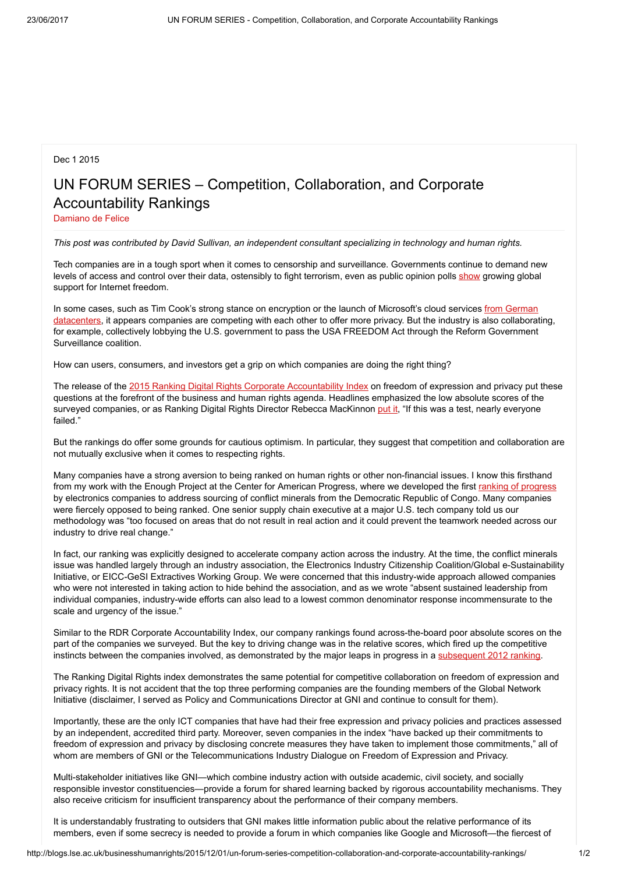## Dec 1 2015

## UN FORUM SERIES – Competition, Collaboration, and Corporate Accountability Rankings

[Damiano](http://blogs.lse.ac.uk/businesshumanrights/author/defelicd/) de Felice

This post was contributed by David Sullivan, an independent consultant specializing in technology and human rights.

Tech companies are in a tough sport when it comes to censorship and surveillance. Governments continue to demand new levels of access and control over their data, ostensibly to fight terrorism, even as public opinion polls [show](http://www.siliconbeat.com/2015/11/18/98366/) growing global support for Internet freedom.

In some cases, such as Tim Cook's strong stance on encryption or the launch of Microsoft's cloud services from German [datacenters,](http://www.slate.com/blogs/future_tense/2015/11/11/microsoft_is_building_data_centers_in_germany_to_shield_european_customer.html) it appears companies are competing with each other to offer more privacy. But the industry is also collaborating, for example, collectively lobbying the U.S. government to pass the USA FREEDOM Act through the Reform Government Surveillance coalition.

How can users, consumers, and investors get a grip on which companies are doing the right thing?

The release of the 2015 Ranking Digital Rights Corporate [Accountability](https://rankingdigitalrights.org/index2015/) Index on freedom of expression and privacy put these questions at the forefront of the business and human rights agenda. Headlines emphasized the low absolute scores of the surveyed companies, or as Ranking Digital Rights Director Rebecca MacKinnon [put](http://www.theguardian.com/technology/2015/nov/03/ranking-digital-rights-project-data-protection) it, "If this was a test, nearly everyone failed."

But the rankings do offer some grounds for cautious optimism. In particular, they suggest that competition and collaboration are not mutually exclusive when it comes to respecting rights.

Many companies have a strong aversion to being ranked on human rights or other non-financial issues. I know this firsthand from my work with the Enough Project at the Center for American Progress, where we developed the first ranking of [progress](http://www.enoughproject.org/publications/getting-conflict-free) by electronics companies to address sourcing of conflict minerals from the Democratic Republic of Congo. Many companies were fiercely opposed to being ranked. One senior supply chain executive at a major U.S. tech company told us our methodology was "too focused on areas that do not result in real action and it could prevent the teamwork needed across our industry to drive real change."

In fact, our ranking was explicitly designed to accelerate company action across the industry. At the time, the conflict minerals issue was handled largely through an industry association, the Electronics Industry Citizenship Coalition/Global e-Sustainability Initiative, or EICC-GeSI Extractives Working Group. We were concerned that this industry-wide approach allowed companies who were not interested in taking action to hide behind the association, and as we wrote "absent sustained leadership from individual companies, industry-wide efforts can also lead to a lowest common denominator response incommensurate to the scale and urgency of the issue."

Similar to the RDR Corporate Accountability Index, our company rankings found across-the-board poor absolute scores on the part of the companies we surveyed. But the key to driving change was in the relative scores, which fired up the competitive instincts between the companies involved, as demonstrated by the major leaps in progress in a [subsequent](http://www.enoughproject.org/files/CorporateRankings2012.pdf) 2012 ranking.

The Ranking Digital Rights index demonstrates the same potential for competitive collaboration on freedom of expression and privacy rights. It is not accident that the top three performing companies are the founding members of the Global Network Initiative (disclaimer, I served as Policy and Communications Director at GNI and continue to consult for them).

Importantly, these are the only ICT companies that have had their free expression and privacy policies and practices assessed by an independent, accredited third party. Moreover, seven companies in the index "have backed up their commitments to freedom of expression and privacy by disclosing concrete measures they have taken to implement those commitments," all of whom are members of GNI or the Telecommunications Industry Dialogue on Freedom of Expression and Privacy.

Multi-stakeholder initiatives like GNI—which combine industry action with outside academic, civil society, and socially responsible investor constituencies—provide a forum for shared learning backed by rigorous accountability mechanisms. They also receive criticism for insufficient transparency about the performance of their company members.

It is understandably frustrating to outsiders that GNI makes little information public about the relative performance of its members, even if some secrecy is needed to provide a forum in which companies like Google and Microsoft—the fiercest of